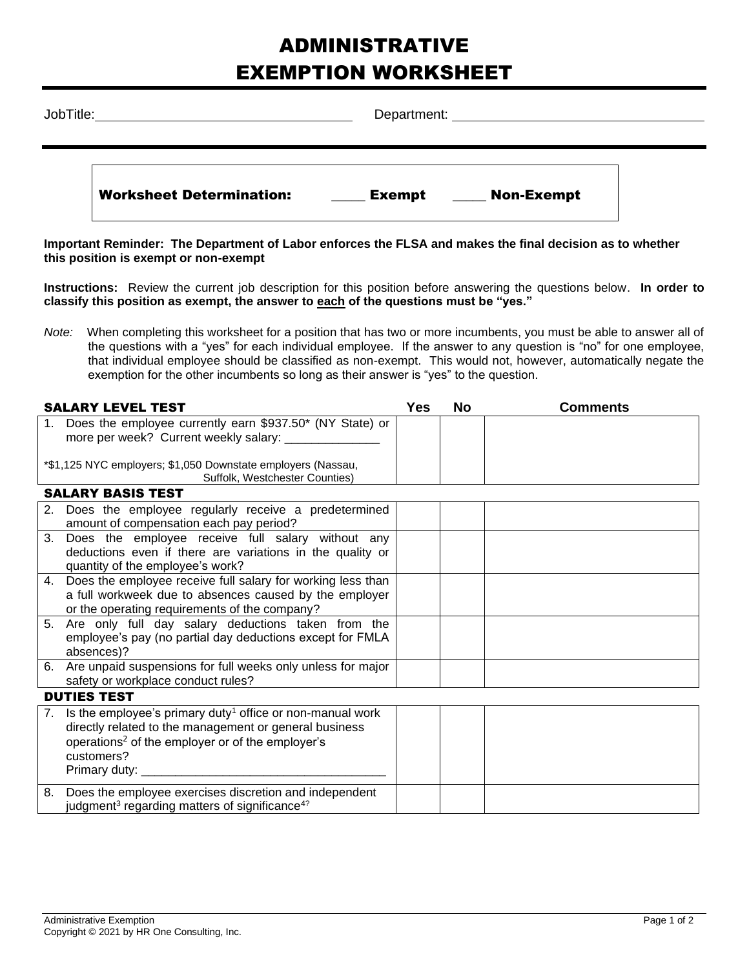## ADMINISTRATIVE EXEMPTION WORKSHEET

| JobTitle: |                                 | Department:                        |  |
|-----------|---------------------------------|------------------------------------|--|
|           | <b>Worksheet Determination:</b> | <b>Non-Exempt</b><br><b>Exempt</b> |  |

**Important Reminder: The Department of Labor enforces the FLSA and makes the final decision as to whether this position is exempt or non-exempt**

**Instructions:** Review the current job description for this position before answering the questions below. **In order to classify this position as exempt, the answer to each of the questions must be "yes."**

*Note:* When completing this worksheet for a position that has two or more incumbents, you must be able to answer all of the questions with a "yes" for each individual employee. If the answer to any question is "no" for one employee, that individual employee should be classified as non-exempt. This would not, however, automatically negate the exemption for the other incumbents so long as their answer is "yes" to the question.

| <b>SALARY LEVEL TEST</b>                                                                          |  | No | <b>Comments</b> |  |
|---------------------------------------------------------------------------------------------------|--|----|-----------------|--|
| Does the employee currently earn \$937.50* (NY State) or<br>more per week? Current weekly salary: |  |    |                 |  |
| *\$1,125 NYC employers; \$1,050 Downstate employers (Nassau,<br>Suffolk, Westchester Counties)    |  |    |                 |  |
| <b>SALARY BASIS TEST</b>                                                                          |  |    |                 |  |

| 2. | Does the employee regularly receive a predetermined                      |  |  |
|----|--------------------------------------------------------------------------|--|--|
|    | amount of compensation each pay period?                                  |  |  |
|    | 3. Does the employee receive full salary without any                     |  |  |
|    | deductions even if there are variations in the quality or                |  |  |
|    | quantity of the employee's work?                                         |  |  |
| 4. | Does the employee receive full salary for working less than              |  |  |
|    | a full workweek due to absences caused by the employer                   |  |  |
|    | or the operating requirements of the company?                            |  |  |
|    | 5. Are only full day salary deductions taken from the                    |  |  |
|    | employee's pay (no partial day deductions except for FMLA                |  |  |
|    | absences)?                                                               |  |  |
|    | 6. Are unpaid suspensions for full weeks only unless for major           |  |  |
|    | safety or workplace conduct rules?                                       |  |  |
|    |                                                                          |  |  |
|    | <b>DUTIES TEST</b>                                                       |  |  |
|    | 7. Is the employee's primary duty <sup>1</sup> office or non-manual work |  |  |
|    | directly related to the management or general business                   |  |  |
|    | operations <sup>2</sup> of the employer or of the employer's             |  |  |
|    | customers?                                                               |  |  |
|    | Primary duty: ___                                                        |  |  |
|    |                                                                          |  |  |
| 8. | Does the employee exercises discretion and independent                   |  |  |